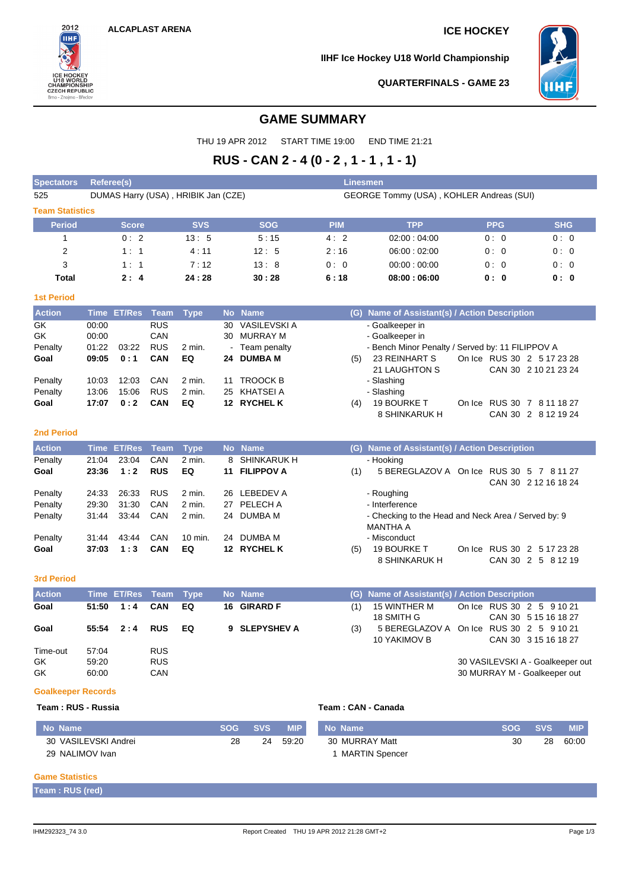2012 **IIHF** 

**CZECH REPUBLIC** Brno - Znoimo - Bře

neh<br>NSHIP

**IIHF Ice Hockey U18 World Championship**



**QUARTERFINALS - GAME 23**

# **GAME SUMMARY**

THU 19 APR 2012 START TIME 19:00 END TIME 21:21

# **RUS - CAN 2 - 4 (0 - 2 , 1 - 1 , 1 - 1)**

| <b>Spectators</b>      | <b>Referee(s)</b>                   |               |             |             |    |                     | <b>Linesmen</b>                          |                                                                        |  |            |                                                    |  |  |
|------------------------|-------------------------------------|---------------|-------------|-------------|----|---------------------|------------------------------------------|------------------------------------------------------------------------|--|------------|----------------------------------------------------|--|--|
| 525                    | DUMAS Harry (USA), HRIBIK Jan (CZE) |               |             |             |    |                     | GEORGE Tommy (USA), KOHLER Andreas (SUI) |                                                                        |  |            |                                                    |  |  |
| <b>Team Statistics</b> |                                     |               |             |             |    |                     |                                          |                                                                        |  |            |                                                    |  |  |
| <b>Period</b>          |                                     | <b>Score</b>  |             | <b>SVS</b>  |    | <b>SOG</b>          | <b>PIM</b>                               | <b>TPP</b>                                                             |  | <b>PPG</b> | <b>SHG</b>                                         |  |  |
| 1                      |                                     | 0:2           |             | 13:5        |    | 5:15                | 4:2                                      | 02:00:04:00                                                            |  | 0:0        | 0:0                                                |  |  |
| $\overline{2}$         |                                     | 1:1           |             | 4:11        |    | 12:5                | 2:16                                     | 06:00:02:00                                                            |  | 0:0        | 0:0                                                |  |  |
| 3                      |                                     | 1:1           |             | 7:12        |    | 13:8                | 0:0                                      | 00:00:00:00                                                            |  | 0:0        | 0:0                                                |  |  |
| <b>Total</b>           |                                     | 2:4           |             | 24:28       |    | 30:28               | 6:18                                     | 08:00:06:00                                                            |  | 0:0        | 0: 0                                               |  |  |
| <b>1st Period</b>      |                                     |               |             |             |    |                     |                                          |                                                                        |  |            |                                                    |  |  |
| <b>Action</b>          | <b>Time</b>                         | <b>ET/Res</b> | <b>Team</b> | <b>Type</b> |    | No Name             | (G)                                      | Name of Assistant(s) / Action Description                              |  |            |                                                    |  |  |
| <b>GK</b>              | 00:00                               |               | <b>RUS</b>  |             | 30 | <b>VASILEVSKI A</b> |                                          | - Goalkeeper in                                                        |  |            |                                                    |  |  |
| <b>GK</b>              | 00:00                               |               | CAN         |             | 30 | <b>MURRAY M</b>     |                                          | - Goalkeeper in                                                        |  |            |                                                    |  |  |
| Penalty                | 01:22                               | 03:22         | <b>RUS</b>  | $2$ min.    |    | - Team penalty      |                                          | - Bench Minor Penalty / Served by: 11 FILIPPOV A                       |  |            |                                                    |  |  |
| Goal                   | 09:05                               | 0:1           | CAN         | EQ          |    | 24 DUMBA M          | (5)                                      | 23 REINHART S<br>21 LAUGHTON S                                         |  |            | On Ice RUS 30 2 5 17 23 28<br>CAN 30 2 10 21 23 24 |  |  |
| Penalty                | 10:03                               | 12:03         | CAN         | $2$ min.    |    | 11 TROOCK B         |                                          | - Slashing                                                             |  |            |                                                    |  |  |
| Penalty                | 13:06                               | 15:06         | <b>RUS</b>  | 2 min.      | 25 | KHATSEI A           |                                          | - Slashing                                                             |  |            |                                                    |  |  |
| Goal                   | 17:07                               | 0:2           | <b>CAN</b>  | EQ          |    | 12 RYCHEL K         | (4)                                      | 19 BOURKE T<br>8 SHINKARUK H                                           |  |            | On Ice RUS 30 7 8 11 18 27<br>CAN 30 2 8 12 19 24  |  |  |
| <b>2nd Period</b>      |                                     |               |             |             |    |                     |                                          |                                                                        |  |            |                                                    |  |  |
| <b>Action</b>          | <b>Time</b>                         | <b>ET/Res</b> | <b>Team</b> | <b>Type</b> |    | No Name             | (G)                                      | Name of Assistant(s) / Action Description                              |  |            |                                                    |  |  |
| Penalty                | 21:04                               | 23:04         | CAN         | $2$ min.    | 8  | <b>SHINKARUK H</b>  |                                          | - Hooking                                                              |  |            |                                                    |  |  |
| Goal                   | 23:36                               | 1:2           | <b>RUS</b>  | EQ          | 11 | <b>FILIPPOV A</b>   | (1)                                      | 5 BEREGLAZOV A On Ice RUS 30 5 7 8 11 27                               |  |            | CAN 30 2 12 16 18 24                               |  |  |
| Penalty                | 24:33                               | 26:33         | <b>RUS</b>  | $2$ min.    |    | 26 LEBEDEV A        |                                          | - Roughing                                                             |  |            |                                                    |  |  |
| Penalty                | 29:30                               | 31:30         | CAN         | $2$ min.    |    | 27 PELECH A         |                                          | - Interference                                                         |  |            |                                                    |  |  |
| Penalty                | 31:44                               | 33:44         | CAN         | 2 min.      |    | 24 DUMBA M          |                                          | - Checking to the Head and Neck Area / Served by: 9<br><b>MANTHA A</b> |  |            |                                                    |  |  |
| Penalty                | 31:44                               | 43:44         | CAN         | 10 min.     |    | 24 DUMBA M          |                                          | - Misconduct                                                           |  |            |                                                    |  |  |
| Goal                   | 37:03                               | 1:3           | CAN         | EQ          |    | 12 RYCHEL K         | (5)                                      | <b>19 BOURKE T</b><br>8 SHINKARUK H                                    |  |            | On Ice RUS 30 2 5 17 23 28<br>CAN 30 2 5 8 12 19   |  |  |

#### **3rd Period**

| <b>Action</b> |       | Time ET/Res Team Type |            |    | No Name       |     | (G) Name of Assistant(s) / Action Description |                                          |
|---------------|-------|-----------------------|------------|----|---------------|-----|-----------------------------------------------|------------------------------------------|
| Goal          |       | 51:50  1:4  CAN       |            | EQ | 16 GIRARD F   | (1) | 15 WINTHER M                                  | On Ice RUS 30 2 5 9 10 21                |
|               |       |                       |            |    |               |     | 18 SMITH G                                    | CAN 30 5 15 16 18 27                     |
| Goal          |       | $55:54$ 2:4           | <b>RUS</b> | EQ | 9 SLEPYSHEV A | (3) |                                               | 5 BEREGLAZOV A On Ice RUS 30 2 5 9 10 21 |
|               |       |                       |            |    |               |     | 10 YAKIMOV B                                  | CAN 30 3 15 16 18 27                     |
| Time-out      | 57:04 |                       | <b>RUS</b> |    |               |     |                                               |                                          |
| GK.           | 59.20 |                       | <b>RUS</b> |    |               |     |                                               | 30 VASILEVSKI A - Goalkeeper out         |
| GK            | 60:00 |                       | <b>CAN</b> |    |               |     |                                               | 30 MURRAY M - Goalkeeper out             |

### **Goalkeeper Records**

## **Team : RUS - Russia Team : CAN - Canada**

| No Name              | <b>SOG</b> | <b>SVS</b> | <b>MIP</b> | l No Name        |    | SOG SVS | <b>MIP</b> |
|----------------------|------------|------------|------------|------------------|----|---------|------------|
| 30 VASILEVSKI Andrei | 28         | 24         | 59:20      | 30 MURRAY Matt   | 30 | 28      | 60:00      |
| 29 NALIMOV Ivan      |            |            |            | 1 MARTIN Spencer |    |         |            |

### **Game Statistics**

F

**Team : RUS (red)**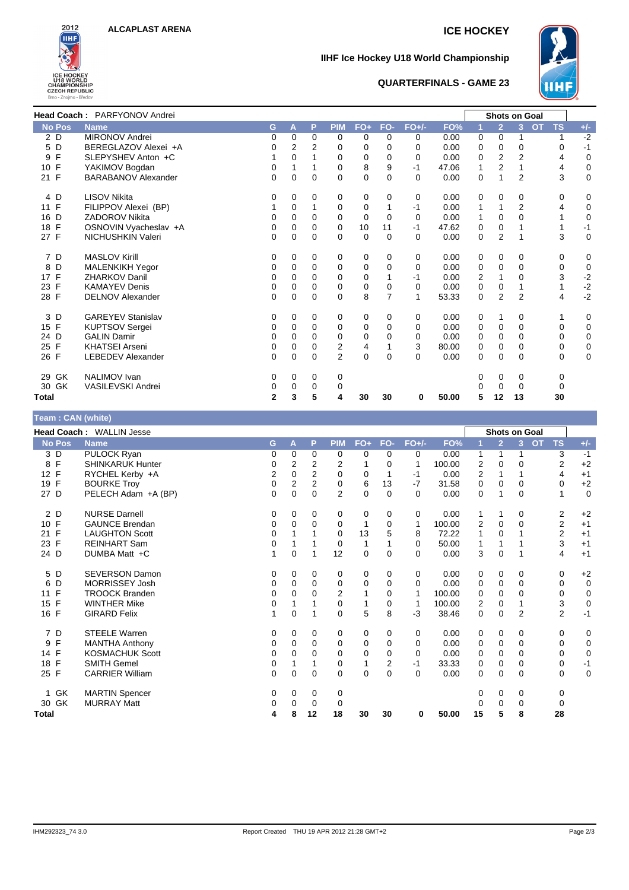

# **IIHF Ice Hockey U18 World Championship**



## **QUARTERFINALS - GAME 23**

|                    | Head Coach: PARFYONOV Andrei |   |          |          |                |             |                |          |       |             |                | <b>Shots on Goal</b> |             |              |
|--------------------|------------------------------|---|----------|----------|----------------|-------------|----------------|----------|-------|-------------|----------------|----------------------|-------------|--------------|
| <b>No Pos</b>      | <b>Name</b>                  | G | A        | P        | <b>PIM</b>     | $FO+$       | FO-            | $FO+/-$  | FO%   |             | $\overline{2}$ | <b>OT</b><br>3       | <b>TS</b>   | $+/-$        |
| 2 D                | <b>MIRONOV Andrei</b>        | 0 | $\Omega$ | $\Omega$ | $\mathbf 0$    | $\Omega$    | $\Omega$       | 0        | 0.00  | $\Omega$    | $\Omega$       |                      |             | $-2$         |
| 5 D                | BEREGLAZOV Alexei +A         | 0 | 2        | 2        | 0              | 0           | $\Omega$       | 0        | 0.00  | 0           | 0              | $\mathbf 0$          | 0           | $-1$         |
| F<br>9             | SLEPYSHEV Anton +C           |   | $\Omega$ |          | 0              | 0           | $\Omega$       | 0        | 0.00  | 0           | 2              | $\overline{2}$       | 4           | $\mathbf 0$  |
| $\mathsf{F}$<br>10 | YAKIMOV Bogdan               | 0 |          |          | 0              | 8           | 9              | $-1$     | 47.06 |             | $\overline{2}$ |                      | 4           | 0            |
| 21 F               | <b>BARABANOV Alexander</b>   | 0 | $\Omega$ | $\Omega$ | $\Omega$       | 0           | $\Omega$       | $\Omega$ | 0.00  | 0           | 1              | $\overline{2}$       | 3           | $\mathbf 0$  |
| 4 D                | <b>LISOV Nikita</b>          | 0 | 0        | 0        | 0              | 0           | 0              | 0        | 0.00  | 0           | 0              | 0                    | 0           | 0            |
| 11 F               | FILIPPOV Alexei (BP)         |   | 0        |          | 0              | 0           |                | -1       | 0.00  | 1           |                | $\overline{2}$       | 4           | 0            |
| D<br>16            | <b>ZADOROV Nikita</b>        | 0 | $\Omega$ | 0        | 0              | 0           | $\Omega$       | $\Omega$ | 0.00  | 1           | $\Omega$       | 0                    |             | 0            |
| $\mathsf{F}$<br>18 | OSNOVIN Vyacheslav +A        | 0 | 0        | 0        | 0              | 10          | 11             | $-1$     | 47.62 | 0           | 0              |                      |             | $-1$         |
| 27 F               | NICHUSHKIN Valeri            | 0 | $\Omega$ | 0        | $\Omega$       | $\mathbf 0$ | $\Omega$       | 0        | 0.00  | $\mathbf 0$ | $\overline{2}$ |                      | 3           | $\mathbf 0$  |
| 7 D                | <b>MASLOV Kirill</b>         | 0 | 0        | 0        | 0              | 0           | 0              | 0        | 0.00  | 0           | 0              | 0                    | 0           | 0            |
| D<br>8             | <b>MALENKIKH Yegor</b>       | 0 | $\Omega$ | $\Omega$ | 0              | 0           | $\Omega$       | $\Omega$ | 0.00  | $\mathbf 0$ | 0              | $\Omega$             | 0           | 0            |
| $\mathsf{F}$<br>17 | <b>ZHARKOV Danil</b>         | 0 | $\Omega$ | 0        | 0              | 0           |                | -1       | 0.00  | 2           | 1              | 0                    | 3           | $-2$         |
| 23 F               | <b>KAMAYEV Denis</b>         | 0 | $\Omega$ | 0        | 0              | 0           | 0              | $\Omega$ | 0.00  | 0           | 0              |                      | 1           | $-2$<br>$-2$ |
| 28 F               | <b>DELNOV Alexander</b>      | 0 | 0        | 0        | 0              | 8           | $\overline{7}$ | 1        | 53.33 | 0           | $\overline{2}$ | $\overline{2}$       | 4           |              |
| 3 D                | <b>GAREYEV Stanislav</b>     | 0 | 0        | 0        | 0              | 0           | 0              | 0        | 0.00  | 0           | 1              | 0                    | 1           | 0            |
| 15 F               | <b>KUPTSOV Sergei</b>        | 0 | 0        | $\Omega$ | 0              | 0           | $\Omega$       | 0        | 0.00  | 0           | 0              | 0                    | 0           | $\mathbf 0$  |
| 24 D               | <b>GALIN Damir</b>           | 0 | 0        | 0        | $\mathbf 0$    | 0           | 0              | 0        | 0.00  | $\mathbf 0$ | 0              | 0                    | 0           | $\mathbf 0$  |
| 25 F               | <b>KHATSEI Arseni</b>        | 0 | 0        | 0        | 2              | 4           |                | 3        | 80.00 | 0           | 0              | 0                    | 0           | $\pmb{0}$    |
| 26 F               | <b>LEBEDEV Alexander</b>     | 0 | 0        | 0        | $\overline{2}$ | 0           | $\Omega$       | 0        | 0.00  | 0           | 0              | $\Omega$             | $\mathbf 0$ | $\mathbf 0$  |
| GK<br>29           | <b>NALIMOV</b> Ivan          | 0 | 0        | 0        | 0              |             |                |          |       | 0           | 0              | 0                    | 0           |              |
| 30 GK              | VASILEVSKI Andrei            | 0 | 0        | 0        | 0              |             |                |          |       | Ω           | 0              | 0                    | 0           |              |
| <b>Total</b>       |                              | 2 | 3        | 5        | 4              | 30          | 30             | 0        | 50.00 | 5           | 12             | 13                   | 30          |              |

|  | Team: CAN (white) |
|--|-------------------|
|  |                   |

| $1$ value $1$ via $1$ and $2$ |                          |   |                |                |                |       |     |         |        |                |                |                      |                         |             |
|-------------------------------|--------------------------|---|----------------|----------------|----------------|-------|-----|---------|--------|----------------|----------------|----------------------|-------------------------|-------------|
|                               | Head Coach: WALLIN Jesse |   |                |                |                |       |     |         |        |                |                | <b>Shots on Goal</b> |                         |             |
| <b>No Pos</b>                 | <b>Name</b>              | G | A              | P              | <b>PIM</b>     | $FO+$ | FO- | $FO+/-$ | FO%    |                | $\overline{2}$ | $\overline{3}$       | <b>TS</b><br><b>OT</b>  | $+/-$       |
| 3 D                           | PULOCK Ryan              | 0 | 0              | 0              | 0              | 0     | 0   | 0       | 0.00   | 1              | 1              |                      | 3                       | $-1$        |
| $\mathsf{F}$<br>8             | <b>SHINKARUK Hunter</b>  | 0 | 2              | $\overline{2}$ | $\overline{2}$ |       | 0   | 1       | 100.00 | 2              | 0              | 0                    | $\overline{2}$          | $+2$        |
| 12 F                          | RYCHEL Kerby +A          | 2 | 0              | $\overline{2}$ | 0              | 0     |     | $-1$    | 0.00   | $\overline{2}$ | 1              |                      | 4                       | $+1$        |
| $\mathsf{F}$<br>19            | <b>BOURKE Troy</b>       | 0 | $\overline{2}$ | 2              | 0              | 6     | 13  | $-7$    | 31.58  | 0              | $\Omega$       | 0                    | $\Omega$                | $+2$        |
| 27 D                          | PELECH Adam +A (BP)      | 0 | 0              | 0              | 2              | 0     | 0   | 0       | 0.00   | 0              | 1              | $\Omega$             | 1                       | $\mathbf 0$ |
| 2 D                           | <b>NURSE Darnell</b>     | 0 | 0              | 0              | 0              | 0     | 0   | 0       | 0.00   | 1              | 1              | 0                    | 2                       | $+2$        |
| 10 F                          | <b>GAUNCE Brendan</b>    | 0 | 0              | 0              | 0              | 1     | 0   | 1       | 100.00 | 2              | $\mathbf 0$    | 0                    | $\overline{\mathbf{c}}$ | $+1$        |
| F<br>21                       | <b>LAUGHTON Scott</b>    | 0 |                |                | 0              | 13    | 5   | 8       | 72.22  |                | $\Omega$       |                      | $\overline{2}$          | $+1$        |
| $\mathsf{F}$<br>23            | <b>REINHART Sam</b>      | 0 |                |                | 0              | 1     |     | 0       | 50.00  | 1              | 1              |                      | 3                       | $+1$        |
| 24 D                          | DUMBA Matt +C            | 1 | 0              |                | 12             | 0     | 0   | 0       | 0.00   | 3              | $\mathbf 0$    |                      | 4                       | $+1$        |
| 5<br>D                        | <b>SEVERSON Damon</b>    | 0 | 0              | 0              | 0              | 0     | 0   | 0       | 0.00   | 0              | 0              | 0                    | 0                       | $+2$        |
| D<br>6                        | <b>MORRISSEY Josh</b>    | 0 | 0              | 0              | 0              | 0     | 0   | 0       | 0.00   | 0              | 0              | 0                    | 0                       | 0           |
| F<br>11                       | <b>TROOCK Branden</b>    | 0 | 0              | 0              | $\overline{2}$ |       | 0   | 1       | 100.00 | 0              | $\Omega$       | 0                    | 0                       | 0           |
| $\mathsf{F}$<br>15            | <b>WINTHER Mike</b>      | 0 |                |                | 0              |       | 0   | 1       | 100.00 | 2              | $\mathbf 0$    |                      | 3                       | $\mathbf 0$ |
| 16 F                          | <b>GIRARD Felix</b>      | 1 | 0              |                | $\Omega$       | 5     | 8   | -3      | 38.46  | 0              | $\mathbf 0$    | $\overline{2}$       | $\overline{2}$          | $-1$        |
| 7 D                           | <b>STEELE Warren</b>     | 0 | 0              | 0              | 0              | 0     | 0   | 0       | 0.00   | 0              | 0              | 0                    | 0                       | 0           |
| F<br>9                        | <b>MANTHA Anthony</b>    | 0 | 0              | 0              | 0              | 0     | 0   | 0       | 0.00   | 0              | 0              | 0                    | 0                       | $\mathbf 0$ |
| 14 F                          | <b>KOSMACHUK Scott</b>   | 0 | 0              | 0              | 0              | 0     | 0   | 0       | 0.00   | 0              | $\mathbf 0$    | 0                    | 0                       | $\mathbf 0$ |
| $\mathsf{F}$<br>18            | <b>SMITH Gemel</b>       | 0 |                |                | 0              | 1     | 2   | $-1$    | 33.33  | 0              | $\mathbf 0$    | 0                    | $\mathbf 0$             | $-1$        |
| 25 F                          | <b>CARRIER William</b>   | 0 | 0              | $\mathbf 0$    | 0              | 0     | 0   | 0       | 0.00   | 0              | $\mathbf 0$    | 0                    | $\mathbf 0$             | $\mathbf 0$ |
| 1 GK                          | <b>MARTIN Spencer</b>    | 0 | $\Omega$       | 0              | 0              |       |     |         |        | 0              | 0              | 0                    | 0                       |             |
| 30 GK                         | <b>MURRAY Matt</b>       | 0 | 0              | 0              | 0              |       |     |         |        | 0              | 0              | 0                    | 0                       |             |
| Total                         |                          | 4 | 8              | 12             | 18             | 30    | 30  | 0       | 50.00  | 15             | 5              | 8                    | 28                      |             |